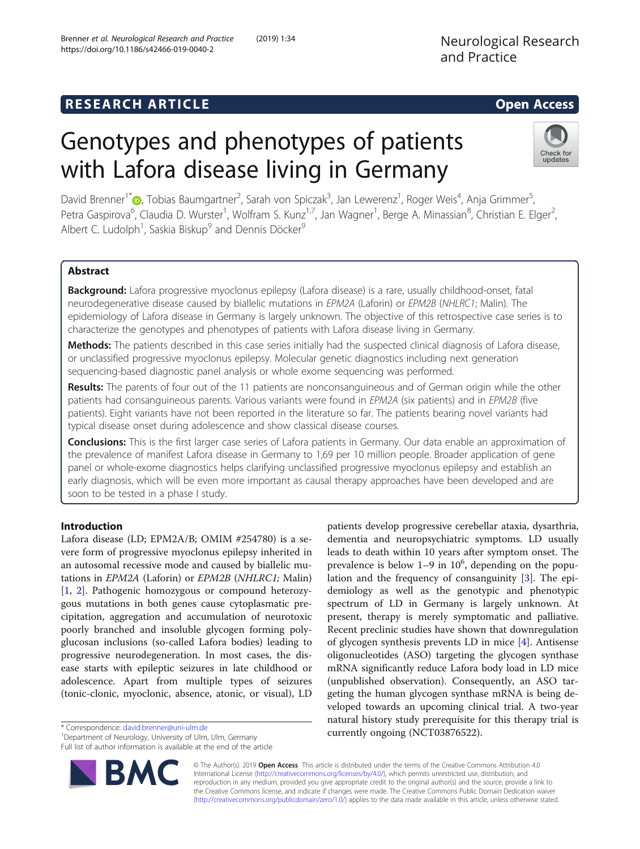# Genotypes and phenotypes of patients with Lafora disease living in Germany

David Brenner<sup>1\*</sup>©[,](http://orcid.org/0000-0002-1535-3146) Tobias Baumgartner<sup>2</sup>, Sarah von Spiczak<sup>3</sup>, Jan Lewerenz<sup>1</sup>, Roger Weis<sup>4</sup>, Anja Grimmer<sup>5</sup> , Petra Gaspirova<sup>6</sup>, Claudia D. Wurster<sup>1</sup>, Wolfram S. Kunz<sup>1,7</sup>, Jan Wagner<sup>1</sup>, Berge A. Minassian<sup>8</sup>, Christian E. Elger<sup>2</sup> .<br>, Albert C. Ludolph<sup>1</sup>, Saskia Biskup<sup>9</sup> and Dennis Döcker<sup>9</sup>

# Abstract

Background: Lafora progressive myoclonus epilepsy (Lafora disease) is a rare, usually childhood-onset, fatal neurodegenerative disease caused by biallelic mutations in EPM2A (Laforin) or EPM2B (NHLRC1; Malin). The epidemiology of Lafora disease in Germany is largely unknown. The objective of this retrospective case series is to characterize the genotypes and phenotypes of patients with Lafora disease living in Germany.

Methods: The patients described in this case series initially had the suspected clinical diagnosis of Lafora disease, or unclassified progressive myoclonus epilepsy. Molecular genetic diagnostics including next generation sequencing-based diagnostic panel analysis or whole exome sequencing was performed.

Results: The parents of four out of the 11 patients are nonconsanguineous and of German origin while the other patients had consanguineous parents. Various variants were found in EPM2A (six patients) and in EPM2B (five patients). Eight variants have not been reported in the literature so far. The patients bearing novel variants had typical disease onset during adolescence and show classical disease courses.

**Conclusions:** This is the first larger case series of Lafora patients in Germany. Our data enable an approximation of the prevalence of manifest Lafora disease in Germany to 1,69 per 10 million people. Broader application of gene panel or whole-exome diagnostics helps clarifying unclassified progressive myoclonus epilepsy and establish an early diagnosis, which will be even more important as causal therapy approaches have been developed and are soon to be tested in a phase I study.

# Introduction

Lafora disease (LD; EPM2A/B; OMIM #254780) is a severe form of progressive myoclonus epilepsy inherited in an autosomal recessive mode and caused by biallelic mutations in EPM2A (Laforin) or EPM2B (NHLRC1; Malin) [[1,](#page-4-0) [2](#page-4-0)]. Pathogenic homozygous or compound heterozygous mutations in both genes cause cytoplasmatic precipitation, aggregation and accumulation of neurotoxic poorly branched and insoluble glycogen forming polyglucosan inclusions (so-called Lafora bodies) leading to progressive neurodegeneration. In most cases, the disease starts with epileptic seizures in late childhood or adolescence. Apart from multiple types of seizures (tonic-clonic, myoclonic, absence, atonic, or visual), LD

\* Correspondence: [david.brenner@uni-ulm.de](mailto:david.brenner@uni-ulm.de) <sup>1</sup>

<sup>1</sup> Department of Neurology, University of Ulm, Ulm, Germany Full list of author information is available at the end of the article

> © The Author(s). 2019 Open Access This article is distributed under the terms of the Creative Commons Attribution 4.0 International License [\(http://creativecommons.org/licenses/by/4.0/](http://creativecommons.org/licenses/by/4.0/)), which permits unrestricted use, distribution, and reproduction in any medium, provided you give appropriate credit to the original author(s) and the source, provide a link to the Creative Commons license, and indicate if changes were made. The Creative Commons Public Domain Dedication waiver [\(http://creativecommons.org/publicdomain/zero/1.0/](http://creativecommons.org/publicdomain/zero/1.0/)) applies to the data made available in this article, unless otherwise stated.

dementia and neuropsychiatric symptoms. LD usually leads to death within 10 years after symptom onset. The prevalence is below  $1-9$  in  $10^6$ , depending on the population and the frequency of consanguinity [\[3](#page-4-0)]. The epidemiology as well as the genotypic and phenotypic spectrum of LD in Germany is largely unknown. At present, therapy is merely symptomatic and palliative. Recent preclinic studies have shown that downregulation of glycogen synthesis prevents LD in mice [\[4](#page-4-0)]. Antisense oligonucleotides (ASO) targeting the glycogen synthase mRNA significantly reduce Lafora body load in LD mice (unpublished observation). Consequently, an ASO targeting the human glycogen synthase mRNA is being developed towards an upcoming clinical trial. A two-year natural history study prerequisite for this therapy trial is currently ongoing (NCT03876522).

patients develop progressive cerebellar ataxia, dysarthria,



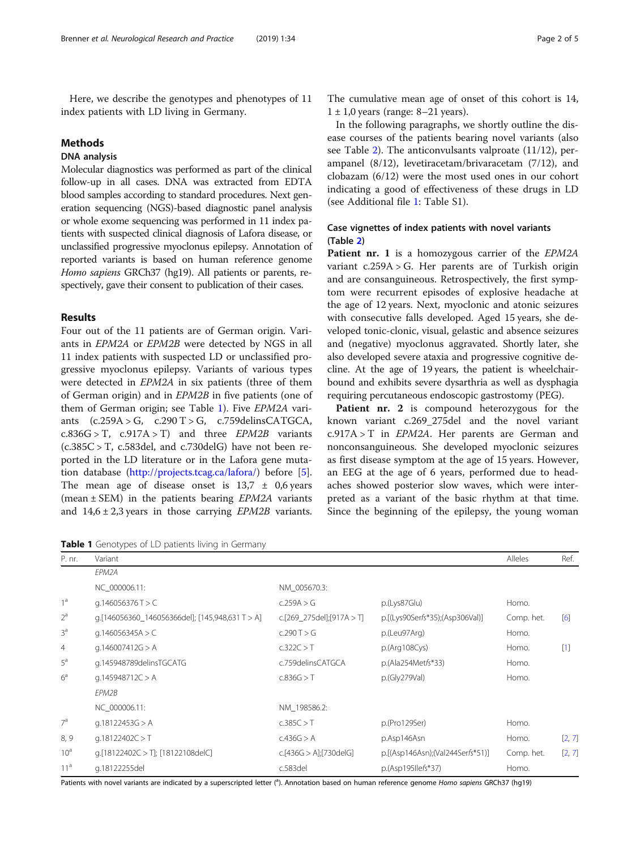Here, we describe the genotypes and phenotypes of 11 index patients with LD living in Germany.

## Methods

# DNA analysis

Molecular diagnostics was performed as part of the clinical follow-up in all cases. DNA was extracted from EDTA blood samples according to standard procedures. Next generation sequencing (NGS)-based diagnostic panel analysis or whole exome sequencing was performed in 11 index patients with suspected clinical diagnosis of Lafora disease, or unclassified progressive myoclonus epilepsy. Annotation of reported variants is based on human reference genome Homo sapiens GRCh37 (hg19). All patients or parents, respectively, gave their consent to publication of their cases.

# Results

Four out of the 11 patients are of German origin. Variants in EPM2A or EPM2B were detected by NGS in all 11 index patients with suspected LD or unclassified progressive myoclonus epilepsy. Variants of various types were detected in EPM2A in six patients (three of them of German origin) and in EPM2B in five patients (one of them of German origin; see Table 1). Five EPM2A variants  $(c.259A > G, c.290T > G, c.759delinsCATGCA,$  $c.836G > T$ ,  $c.917A > T$ ) and three *EPM2B* variants  $(c.385C > T, c.583del, and c.730delG)$  have not been reported in the LD literature or in the Lafora gene mutation database ([http://projects.tcag.ca/lafora/\)](http://projects.tcag.ca/lafora/) before [\[5](#page-4-0)]. The mean age of disease onset is  $13.7 \pm 0.6$  years (mean  $\pm$  SEM) in the patients bearing *EPM2A* variants and  $14.6 \pm 2.3$  years in those carrying *EPM2B* variants.

Table 1 Genotypes of LD patients living in Germany

The cumulative mean age of onset of this cohort is 14,  $1 \pm 1,0$  years (range: 8–21 years).

In the following paragraphs, we shortly outline the disease courses of the patients bearing novel variants (also see Table [2\)](#page-2-0). The anticonvulsants valproate (11/12), perampanel (8/12), levetiracetam/brivaracetam (7/12), and clobazam (6/12) were the most used ones in our cohort indicating a good of effectiveness of these drugs in LD (see Additional file [1:](#page-3-0) Table S1).

# Case vignettes of index patients with novel variants (Table [2\)](#page-2-0)

Patient nr. 1 is a homozygous carrier of the EPM2A variant c.259A > G. Her parents are of Turkish origin and are consanguineous. Retrospectively, the first symptom were recurrent episodes of explosive headache at the age of 12 years. Next, myoclonic and atonic seizures with consecutive falls developed. Aged 15 years, she developed tonic-clonic, visual, gelastic and absence seizures and (negative) myoclonus aggravated. Shortly later, she also developed severe ataxia and progressive cognitive decline. At the age of 19 years, the patient is wheelchairbound and exhibits severe dysarthria as well as dysphagia requiring percutaneous endoscopic gastrostomy (PEG).

Patient nr. 2 is compound heterozygous for the known variant c.269\_275del and the novel variant c.917A > T in EPM2A. Her parents are German and nonconsanguineous. She developed myoclonic seizures as first disease symptom at the age of 15 years. However, an EEG at the age of 6 years, performed due to headaches showed posterior slow waves, which were interpreted as a variant of the basic rhythm at that time. Since the beginning of the epilepsy, the young woman

| P. nr.          | Variant                                         |                           |                                  | Alleles    | Ref.   |
|-----------------|-------------------------------------------------|---------------------------|----------------------------------|------------|--------|
|                 | EPM2A                                           |                           |                                  |            |        |
|                 | NC 000006.11:                                   | NM 005670.3:              |                                  |            |        |
| 1 <sup>a</sup>  | q.146056376T > C                                | c.259A > G                | p.(Lys87Glu)                     | Homo.      |        |
| $2^a$           | q.[146056360_146056366del]; [145,948,631 T > A] | c.[269_275del];[917A > T] | p.[(Lys90Serfs*35);(Asp306Val)]  | Comp. het. | [6]    |
| 3 <sup>a</sup>  | q.146056345A > C                                | c.290T > G                | p.(Leu97Arg)                     | Homo.      |        |
| 4               | g.146007412G > A                                | c.322C > T                | p.(Arg108Cys)                    | Homo.      | $[1]$  |
| $5^a$           | g.145948789delinsTGCATG                         | c.759delinsCATGCA         | p.(Ala254Metfs*33)               | Homo.      |        |
| $6^a$           | q.145948712C > A                                | c.836G > T                | Homo.                            |            |        |
|                 | EPM2B                                           |                           |                                  |            |        |
|                 | NC 000006.11:                                   | NM 198586.2:              |                                  |            |        |
| 7 <sup>a</sup>  | q.18122453G > A                                 | c.385C > T                | p.(Pro129Ser)                    | Homo.      |        |
| 8, 9            | q.18122402 $C > T$                              | c.436G > A                | p.Asp146Asn                      | Homo.      | [2, 7] |
| 10 <sup>a</sup> | q.[18122402C > T]; [18122108delC]               | c.[436G > A][730de[G]     | p.[(Asp146Asn);(Val244Serfs*51)] | Comp. het. | [2, 7] |
| 11 <sup>a</sup> | g.18122255del                                   | c.583del                  | p.(Asp195llefs*37)               | Homo.      |        |

Patients with novel variants are indicated by a superscripted letter (<sup>a</sup>). Annotation based on human reference genome Homo sapiens GRCh37 (hg19)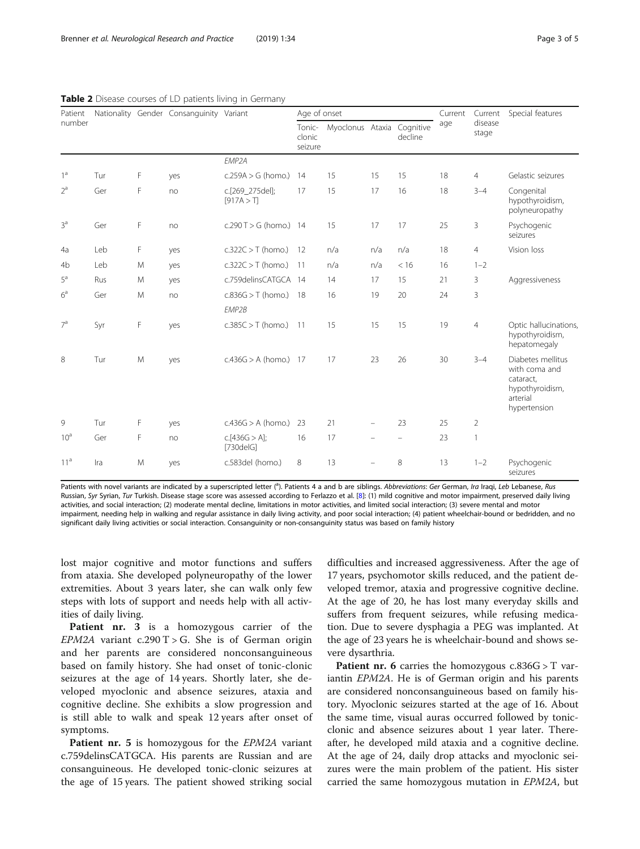| Patient<br>number |     |   | Nationality Gender Consanguinity Variant |                               | Age of onset                |                  |     |                      | Current | Current          | Special features                                                                               |
|-------------------|-----|---|------------------------------------------|-------------------------------|-----------------------------|------------------|-----|----------------------|---------|------------------|------------------------------------------------------------------------------------------------|
|                   |     |   |                                          |                               | Tonic-<br>clonic<br>seizure | Myoclonus Ataxia |     | Cognitive<br>decline | age     | disease<br>stage |                                                                                                |
|                   |     |   |                                          | FMP <sub>2</sub> A            |                             |                  |     |                      |         |                  |                                                                                                |
| 1 <sup>a</sup>    | Tur | F | yes                                      | $c.259A > G$ (homo.)          | 14                          | 15               | 15  | 15                   | 18      | $\overline{4}$   | Gelastic seizures                                                                              |
| $2^a$             | Ger | F | no                                       | c.[269_275del];<br>[917A > T] | 17                          | 15               | 17  | 16                   | 18      | $3 - 4$          | Congenital<br>hypothyroidism,<br>polyneuropathy                                                |
| 3 <sup>a</sup>    | Ger | F | no                                       | $c.290 T > G$ (homo.) 14      |                             | 15               | 17  | 17                   | 25      | 3                | Psychogenic<br>seizures                                                                        |
| 4a                | Leb | F | yes                                      | $c.322C > T$ (homo.)          | 12                          | n/a              | n/a | n/a                  | 18      | $\overline{4}$   | Vision loss                                                                                    |
| 4b                | Leb | M | yes                                      | $c.322C > T$ (homo.)          | 11                          | n/a              | n/a | < 16                 | 16      | $1 - 2$          |                                                                                                |
| $5^a$             | Rus | M | yes                                      | c.759delinsCATGCA 14          |                             | 14               | 17  | 15                   | 21      | 3                | Aggressiveness                                                                                 |
| 6 <sup>a</sup>    | Ger | M | no                                       | $c.836G > T$ (homo.)          | -18                         | 16               | 19  | 20                   | 24      | 3                |                                                                                                |
|                   |     |   |                                          | EMP2B                         |                             |                  |     |                      |         |                  |                                                                                                |
| 7 <sup>a</sup>    | Syr | F | yes                                      | $c.385C > T$ (homo.)          | $-11$                       | 15               | 15  | 15                   | 19      | $\overline{4}$   | Optic hallucinations,<br>hypothyroidism,<br>hepatomegaly                                       |
| 8                 | Tur | M | yes                                      | $c.436G > A$ (homo.) 17       |                             | 17               | 23  | 26                   | 30      | $3 - 4$          | Diabetes mellitus<br>with coma and<br>cataract,<br>hypothyroidism,<br>arterial<br>hypertension |
| 9                 | Tur | F | yes                                      | $c.436G > A$ (homo.)          | 23                          | 21               |     | 23                   | 25      | $\overline{2}$   |                                                                                                |
| 10 <sup>a</sup>   | Ger | F | no                                       | c.[436G > A];<br>[730delG]    | 16                          | 17               |     |                      | 23      | 1                |                                                                                                |
| 11 <sup>a</sup>   | Ira | M | yes                                      | c.583del (homo.)              | 8                           | 13               |     | 8                    | 13      | $1 - 2$          | Psychogenic<br>seizures                                                                        |

#### <span id="page-2-0"></span>Table 2 Disease courses of LD patients living in Germany

Patients with novel variants are indicated by a superscripted letter (<sup>a</sup>). Patients 4 a and b are siblings. Abbreviations: Ger German, Ira Iraqi, Leb Lebanese, Rus Russian, Syr Syrian, Tur Turkish. Disease stage score was assessed according to Ferlazzo et al. [[8](#page-4-0)]: (1) mild cognitive and motor impairment, preserved daily living activities, and social interaction; (2) moderate mental decline, limitations in motor activities, and limited social interaction; (3) severe mental and motor impairment, needing help in walking and regular assistance in daily living activity, and poor social interaction; (4) patient wheelchair-bound or bedridden, and no significant daily living activities or social interaction. Consanguinity or non-consanguinity status was based on family history

lost major cognitive and motor functions and suffers from ataxia. She developed polyneuropathy of the lower extremities. About 3 years later, she can walk only few steps with lots of support and needs help with all activities of daily living.

Patient nr. 3 is a homozygous carrier of the EPM2A variant c.290 T > G. She is of German origin and her parents are considered nonconsanguineous based on family history. She had onset of tonic-clonic seizures at the age of 14 years. Shortly later, she developed myoclonic and absence seizures, ataxia and cognitive decline. She exhibits a slow progression and is still able to walk and speak 12 years after onset of symptoms.

Patient nr. 5 is homozygous for the *EPM2A* variant c.759delinsCATGCA. His parents are Russian and are consanguineous. He developed tonic-clonic seizures at the age of 15 years. The patient showed striking social

difficulties and increased aggressiveness. After the age of 17 years, psychomotor skills reduced, and the patient developed tremor, ataxia and progressive cognitive decline. At the age of 20, he has lost many everyday skills and suffers from frequent seizures, while refusing medication. Due to severe dysphagia a PEG was implanted. At the age of 23 years he is wheelchair-bound and shows severe dysarthria.

**Patient nr. 6** carries the homozygous  $c.836G > T$  variantin EPM2A. He is of German origin and his parents are considered nonconsanguineous based on family history. Myoclonic seizures started at the age of 16. About the same time, visual auras occurred followed by tonicclonic and absence seizures about 1 year later. Thereafter, he developed mild ataxia and a cognitive decline. At the age of 24, daily drop attacks and myoclonic seizures were the main problem of the patient. His sister carried the same homozygous mutation in EPM2A, but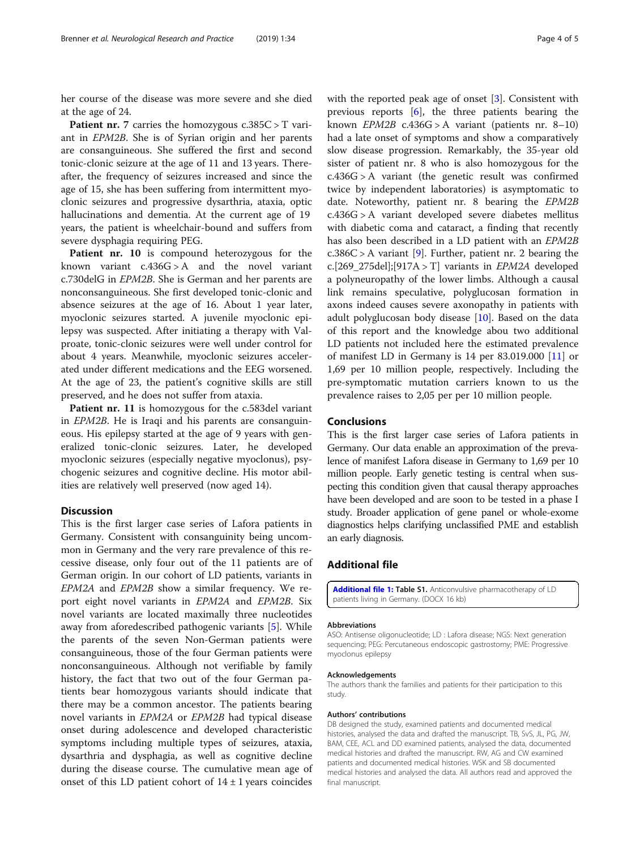<span id="page-3-0"></span>her course of the disease was more severe and she died at the age of 24.

**Patient nr.** 7 carries the homozygous  $c.385C > T$  variant in EPM2B. She is of Syrian origin and her parents are consanguineous. She suffered the first and second tonic-clonic seizure at the age of 11 and 13 years. Thereafter, the frequency of seizures increased and since the age of 15, she has been suffering from intermittent myoclonic seizures and progressive dysarthria, ataxia, optic hallucinations and dementia. At the current age of 19 years, the patient is wheelchair-bound and suffers from severe dysphagia requiring PEG.

Patient nr. 10 is compound heterozygous for the known variant  $c.436G > A$  and the novel variant c.730delG in EPM2B. She is German and her parents are nonconsanguineous. She first developed tonic-clonic and absence seizures at the age of 16. About 1 year later, myoclonic seizures started. A juvenile myoclonic epilepsy was suspected. After initiating a therapy with Valproate, tonic-clonic seizures were well under control for about 4 years. Meanwhile, myoclonic seizures accelerated under different medications and the EEG worsened. At the age of 23, the patient's cognitive skills are still preserved, and he does not suffer from ataxia.

Patient nr. 11 is homozygous for the c.583del variant in EPM2B. He is Iraqi and his parents are consanguineous. His epilepsy started at the age of 9 years with generalized tonic-clonic seizures. Later, he developed myoclonic seizures (especially negative myoclonus), psychogenic seizures and cognitive decline. His motor abilities are relatively well preserved (now aged 14).

# **Discussion**

This is the first larger case series of Lafora patients in Germany. Consistent with consanguinity being uncommon in Germany and the very rare prevalence of this recessive disease, only four out of the 11 patients are of German origin. In our cohort of LD patients, variants in EPM2A and EPM2B show a similar frequency. We report eight novel variants in EPM2A and EPM2B. Six novel variants are located maximally three nucleotides away from aforedescribed pathogenic variants [\[5](#page-4-0)]. While the parents of the seven Non-German patients were consanguineous, those of the four German patients were nonconsanguineous. Although not verifiable by family history, the fact that two out of the four German patients bear homozygous variants should indicate that there may be a common ancestor. The patients bearing novel variants in EPM2A or EPM2B had typical disease onset during adolescence and developed characteristic symptoms including multiple types of seizures, ataxia, dysarthria and dysphagia, as well as cognitive decline during the disease course. The cumulative mean age of onset of this LD patient cohort of  $14 \pm 1$  years coincides

with the reported peak age of onset [\[3\]](#page-4-0). Consistent with previous reports [\[6](#page-4-0)], the three patients bearing the known  $EPM2B$  c.436G > A variant (patients nr. 8–10) had a late onset of symptoms and show a comparatively slow disease progression. Remarkably, the 35-year old sister of patient nr. 8 who is also homozygous for the c.436G > A variant (the genetic result was confirmed twice by independent laboratories) is asymptomatic to date. Noteworthy, patient nr. 8 bearing the EPM2B c.436G > A variant developed severe diabetes mellitus with diabetic coma and cataract, a finding that recently has also been described in a LD patient with an EPM2B  $c.386C > A$  variant [\[9\]](#page-4-0). Further, patient nr. 2 bearing the c.[269\_275del];[917A > T] variants in  $EPM2A$  developed a polyneuropathy of the lower limbs. Although a causal link remains speculative, polyglucosan formation in axons indeed causes severe axonopathy in patients with adult polyglucosan body disease [[10](#page-4-0)]. Based on the data of this report and the knowledge abou two additional LD patients not included here the estimated prevalence of manifest LD in Germany is  $14$  per  $83.019.000$  [\[11](#page-4-0)] or 1,69 per 10 million people, respectively. Including the pre-symptomatic mutation carriers known to us the prevalence raises to 2,05 per per 10 million people.

# Conclusions

This is the first larger case series of Lafora patients in Germany. Our data enable an approximation of the prevalence of manifest Lafora disease in Germany to 1,69 per 10 million people. Early genetic testing is central when suspecting this condition given that causal therapy approaches have been developed and are soon to be tested in a phase I study. Broader application of gene panel or whole-exome diagnostics helps clarifying unclassified PME and establish an early diagnosis.

# Additional file

[Additional file 1:](https://doi.org/10.1186/s42466-019-0040-2) Table S1. Anticonvulsive pharmacotherapy of LD patients living in Germany. (DOCX 16 kb)

#### Abbreviations

ASO: Antisense oligonucleotide; LD : Lafora disease; NGS: Next generation sequencing; PEG: Percutaneous endoscopic gastrostomy; PME: Progressive myoclonus epilepsy

#### Acknowledgements

The authors thank the families and patients for their participation to this study.

#### Authors' contributions

DB designed the study, examined patients and documented medical histories, analysed the data and drafted the manuscript. TB, SvS, JL, PG, JW, BAM, CEE, ACL and DD examined patients, analysed the data, documented medical histories and drafted the manuscript. RW, AG and CW examined patients and documented medical histories. WSK and SB documented medical histories and analysed the data. All authors read and approved the final manuscript.